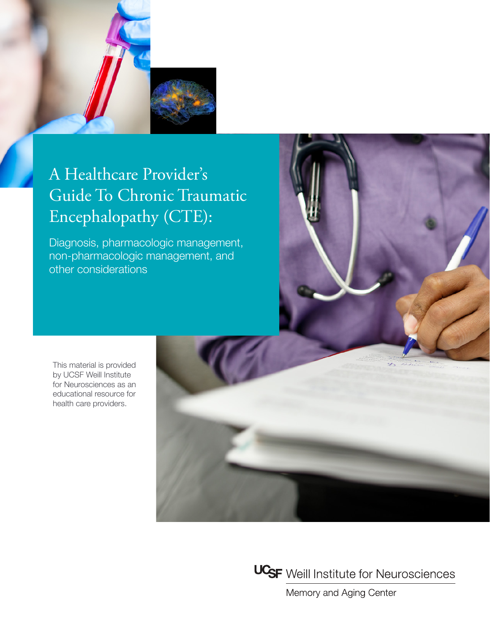

# A Healthcare Provider's Guide To Chronic Traumatic Encephalopathy (CTE):

Diagnosis, pharmacologic management, non-pharmacologic management, and other considerations



This material is provided by UCSF Weill Institute for Neurosciences as an educational resource for health care providers.





Memory and Aging Center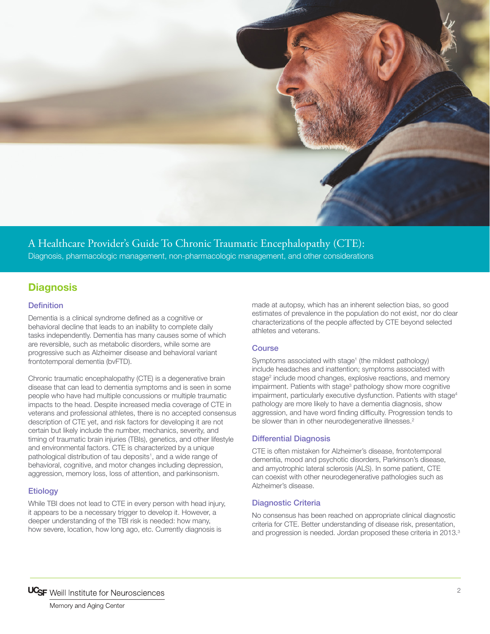

### A Healthcare Provider's Guide To Chronic Traumatic Encephalopathy (CTE): Diagnosis, pharmacologic management, non-pharmacologic management, and other considerations

### **Diagnosis**

### **Definition**

Dementia is a clinical syndrome defined as a cognitive or behavioral decline that leads to an inability to complete daily tasks independently. Dementia has many causes some of which are reversible, such as metabolic disorders, while some are progressive such as Alzheimer disease and behavioral variant frontotemporal dementia (bvFTD).

Chronic traumatic encephalopathy (CTE) is a degenerative brain disease that can lead to dementia symptoms and is seen in some people who have had multiple concussions or multiple traumatic impacts to the head. Despite increased media coverage of CTE in veterans and professional athletes, there is no accepted consensus description of CTE yet, and risk factors for developing it are not certain but likely include the number, mechanics, severity, and timing of traumatic brain injuries (TBIs), genetics, and other lifestyle and environmental factors. CTE is characterized by a unique pathological distribution of tau deposits<sup>1</sup>, and a wide range of behavioral, cognitive, and motor changes including depression, aggression, memory loss, loss of attention, and parkinsonism.

### **Etiology**

While TBI does not lead to CTE in every person with head injury, it appears to be a necessary trigger to develop it. However, a deeper understanding of the TBI risk is needed: how many, how severe, location, how long ago, etc. Currently diagnosis is

made at autopsy, which has an inherent selection bias, so good estimates of prevalence in the population do not exist, nor do clear characterizations of the people affected by CTE beyond selected athletes and veterans.

### **Course**

Symptoms associated with stage<sup>1</sup> (the mildest pathology) include headaches and inattention; symptoms associated with stage<sup>2</sup> include mood changes, explosive reactions, and memory impairment. Patients with stage<sup>3</sup> pathology show more cognitive impairment, particularly executive dysfunction. Patients with stage<sup>4</sup> pathology are more likely to have a dementia diagnosis, show aggression, and have word finding difficulty. Progression tends to be slower than in other neurodegenerative illnesses.<sup>2</sup>

### Differential Diagnosis

CTE is often mistaken for Alzheimer's disease, frontotemporal dementia, mood and psychotic disorders, Parkinson's disease, and amyotrophic lateral sclerosis (ALS). In some patient, CTE can coexist with other neurodegenerative pathologies such as Alzheimer's disease.

### Diagnostic Criteria

No consensus has been reached on appropriate clinical diagnostic criteria for CTE. Better understanding of disease risk, presentation, and progression is needed. Jordan proposed these criteria in 2013.<sup>3</sup>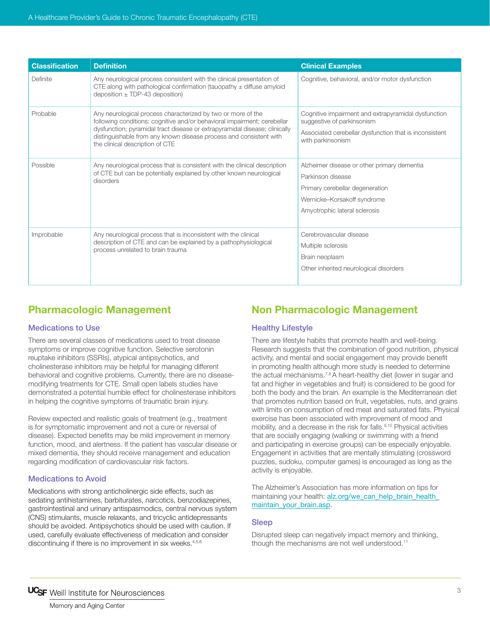| <b>Classification</b> | <b>Definition</b>                                                                                                                                                                                                                                                                                                               | <b>Clinical Examples</b>                                                                                                                                            |
|-----------------------|---------------------------------------------------------------------------------------------------------------------------------------------------------------------------------------------------------------------------------------------------------------------------------------------------------------------------------|---------------------------------------------------------------------------------------------------------------------------------------------------------------------|
| Definite              | Any neurological process consistent with the clinical presentation of<br>CTE along with pathological confirmation (tauopathy $\pm$ diffuse amyloid<br>deposition $\pm$ TDP-43 deposition)                                                                                                                                       | Cognitive, behavioral, and/or motor dysfunction                                                                                                                     |
| Probable              | Any neurological process characterized by two or more of the<br>following conditions: cognitive and/or behavioral impairment; cerebellar<br>dysfunction; pyramidal tract disease or extrapyramidal disease; clinically<br>distinguishable from any known disease process and consistent with<br>the clinical description of CTE | Cognitive impairment and extrapyramidal dysfunction<br>suggestive of parkinsonism<br>Associated cerebellar dysfunction that is inconsistent<br>with parkinsonism    |
| Possible              | Any neurological process that is consistent with the clinical description<br>of CTE but can be potentially explained by other known neurological<br>disorders                                                                                                                                                                   | Alzheimer disease or other primary dementia<br>Parkinson disease<br>Primary cerebellar degeneration<br>Wernicke-Korsakoff syndrome<br>Amyotrophic lateral sclerosis |
| Improbable            | Any neurological process that is inconsistent with the clinical<br>description of CTE and can be explained by a pathophysiological<br>process unrelated to brain trauma                                                                                                                                                         | Cerebrovascular disease<br>Multiple sclerosis<br>Brain neoplasm<br>Other inherited neurological disorders                                                           |

# **Pharmacologic Management**

### Medications to Use

There are several classes of medications used to treat disease symptoms or improve cognitive function. Selective serotonin reuptake inhibitors (SSRIs), atypical antipsychotics, and cholinesterase inhibitors may be helpful for managing different behavioral and cognitive problems. Currently, there are no diseasemodifying treatments for CTE. Small open labels studies have demonstrated a potential humble effect for cholinesterase inhibitors in helping the cognitive symptoms of traumatic brain injury.

Review expected and realistic goals of treatment (e.g., treatment is for symptomatic improvement and not a cure or reversal of disease). Expected benefits may be mild improvement in memory function, mood, and alertness. If the patient has vascular disease or mixed dementia, they should receive management and education regarding modification of cardiovascular risk factors.

### Medications to Avoid

Medications with strong anticholinergic side effects, such as sedating antihistamines, barbiturates, narcotics, benzodiazepines, gastrointestinal and urinary antispasmodics, central nervous system (CNS) stimulants, muscle relaxants, and tricyclic antidepressants should be avoided. Antipsychotics should be used with caution. If used, carefully evaluate effectiveness of medication and consider discontinuing if there is no improvement in six weeks.<sup>4,5,6</sup>

# **Non Pharmacologic Management**

### Healthy Lifestyle

There are lifestyle habits that promote health and well-being. Research suggests that the combination of good nutrition, physical activity, and mental and social engagement may provide benefit in promoting health although more study is needed to determine the actual mechanisms.7,8 A heart-healthy diet (lower in sugar and fat and higher in vegetables and fruit) is considered to be good for both the body and the brain. An example is the Mediterranean diet that promotes nutrition based on fruit, vegetables, nuts, and grains with limits on consumption of red meat and saturated fats. Physical exercise has been associated with improvement of mood and mobility, and a decrease in the risk for falls.<sup>9,10</sup> Physical activities that are socially engaging (walking or swimming with a friend and participating in exercise groups) can be especially enjoyable. Engagement in activities that are mentally stimulating (crossword puzzles, sudoku, computer games) is encouraged as long as the activity is enjoyable.

The Alzheimer's Association has more information on tips for maintaining your health: alz.org/we\_can\_help\_brain\_health maintain\_your\_brain.asp.

### Sleep

Disrupted sleep can negatively impact memory and thinking, though the mechanisms are not well understood.<sup>11</sup>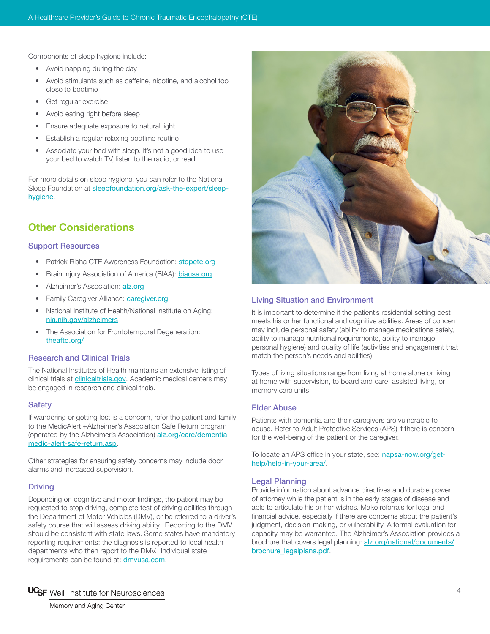Components of sleep hygiene include:

- Avoid [napping](http://sleepfoundation.org/sleep-topics/napping) during the day
- Avoid stimulants such as [caffeine](http://sleepfoundation.org/sleep-topics/caffeine-and-sleep), nicotine, and alcohol too close to bedtime
- Get regular exercise
- Avoid eating right before sleep
- Ensure adequate exposure to natural light
- Establish a regular relaxing bedtime routine
- Associate your bed with sleep. It's not a good idea to use your bed to watch TV, listen to the radio, or read.

For more details on sleep hygiene, you can refer to the National Sleep Foundation at [sleepfoundation.org/ask-the-expert/sleep](http://sleepfoundation.org/ask-the-expert/sleep-hygiene)[hygiene](http://sleepfoundation.org/ask-the-expert/sleep-hygiene).

# **Other Considerations**

### Support Resources

- Patrick Risha CTE Awareness Foundation: stopcte.org
- Brain Injury Association of America (BIAA): biausa.org
- Alzheimer's Association: [alz.org](http://www.alz.org)
- Family Caregiver Alliance: **[caregiver.org](http://caregiver.org)**
- National Institute of Health/National Institute on Aging: nia.nih.gov/alzheimers
- The Association for Frontotemporal Degeneration: theaftd.org/

### Research and Clinical Trials

The National Institutes of Health maintains an extensive listing of clinical trials at **[clinicaltrials.gov](http://www.clinicaltrials.gov)**. Academic medical centers may be engaged in research and clinical trials.

#### **Safety**

If wandering or getting lost is a concern, refer the patient and family to the MedicAlert +Alzheimer's Association Safe Return program (operated by the Alzheimer's Association) alz.org/care/dementiamedic-alert-safe-return.asp.

Other strategies for ensuring safety concerns may include door alarms and increased supervision.

### **Driving**

Depending on cognitive and motor findings, the patient may be requested to stop driving, complete test of driving abilities through the Department of Motor Vehicles (DMV), or be referred to a driver's safety course that will assess driving ability. Reporting to the DMV should be consistent with state laws. Some states have mandatory reporting requirements: the diagnosis is reported to local health departments who then report to the DMV. Individual state requirements can be found at: [dmvusa.com](http://www.dmvusa.com).



### Living Situation and Environment

It is important to determine if the patient's residential setting best meets his or her functional and cognitive abilities. Areas of concern may include personal safety (ability to manage medications safely, ability to manage nutritional requirements, ability to manage personal hygiene) and quality of life (activities and engagement that match the person's needs and abilities).

Types of living situations range from living at home alone or living at home with supervision, to board and care, assisted living, or memory care units.

### Elder Abuse

Patients with dementia and their caregivers are vulnerable to abuse. Refer to Adult Protective Services (APS) if there is concern for the well-being of the patient or the caregiver.

To locate an APS office in your state, see: [napsa-now.org/get](http://www.napsa-now.org/get-help/help-in-your-area/)[help/help-in-your-area/](http://www.napsa-now.org/get-help/help-in-your-area/).

### Legal Planning

Provide information about advance directives and durable power of attorney while the patient is in the early stages of disease and able to articulate his or her wishes. Make referrals for legal and financial advice, especially if there are concerns about the patient's judgment, decision-making, or vulnerability. A formal evaluation for capacity may be warranted. The Alzheimer's Association provides a brochure that covers legal planning: alz.org/national/documents/ brochure\_legalplans.pdf.



Memory and Aging Center